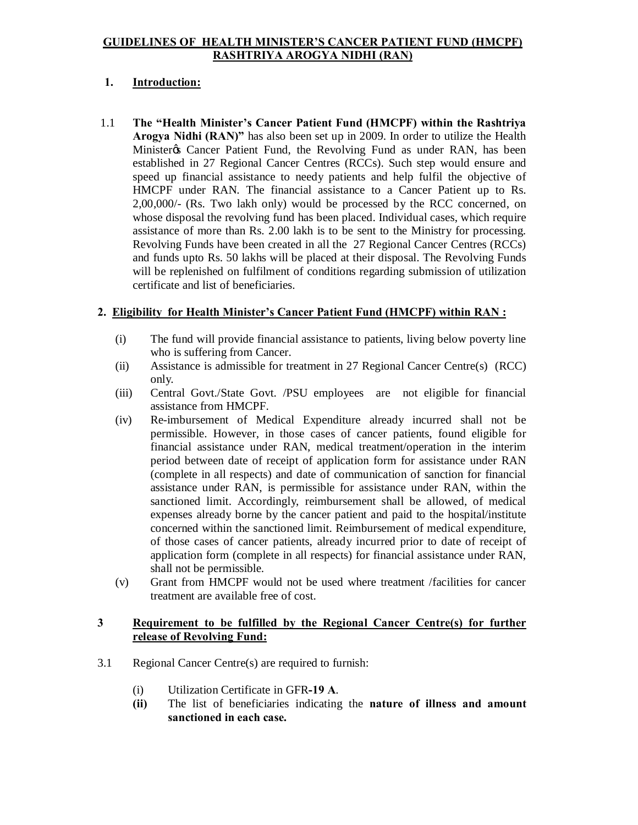#### **GUIDELINES OF HEALTH MINISTER'S CANCER PATIENT FUND (HMCPF) RASHTRIYA AROGYA NIDHI (RAN)**

# **1. Introduction:**

1.1 **The "Health Minister's Cancer Patient Fund (HMCPF) within the Rashtriya Arogya Nidhi (RAN)"** has also been set up in 2009. In order to utilize the Health Minister & Cancer Patient Fund, the Revolving Fund as under RAN, has been established in 27 Regional Cancer Centres (RCCs). Such step would ensure and speed up financial assistance to needy patients and help fulfil the objective of HMCPF under RAN. The financial assistance to a Cancer Patient up to Rs. 2,00,000/- (Rs. Two lakh only) would be processed by the RCC concerned, on whose disposal the revolving fund has been placed. Individual cases, which require assistance of more than Rs. 2.00 lakh is to be sent to the Ministry for processing. Revolving Funds have been created in all the 27 Regional Cancer Centres (RCCs) and funds upto Rs. 50 lakhs will be placed at their disposal. The Revolving Funds will be replenished on fulfilment of conditions regarding submission of utilization certificate and list of beneficiaries.

# **2. Eligibility for Health Minister's Cancer Patient Fund (HMCPF) within RAN :**

- (i) The fund will provide financial assistance to patients, living below poverty line who is suffering from Cancer.
- (ii) Assistance is admissible for treatment in 27 Regional Cancer Centre(s) (RCC) only.
- (iii) Central Govt./State Govt. /PSU employees are not eligible for financial assistance from HMCPF.
- (iv) Re-imbursement of Medical Expenditure already incurred shall not be permissible. However, in those cases of cancer patients, found eligible for financial assistance under RAN, medical treatment/operation in the interim period between date of receipt of application form for assistance under RAN (complete in all respects) and date of communication of sanction for financial assistance under RAN, is permissible for assistance under RAN, within the sanctioned limit. Accordingly, reimbursement shall be allowed, of medical expenses already borne by the cancer patient and paid to the hospital/institute concerned within the sanctioned limit. Reimbursement of medical expenditure, of those cases of cancer patients, already incurred prior to date of receipt of application form (complete in all respects) for financial assistance under RAN, shall not be permissible.
- (v) Grant from HMCPF would not be used where treatment /facilities for cancer treatment are available free of cost.

#### **3 Requirement to be fulfilled by the Regional Cancer Centre(s) for further release of Revolving Fund:**

- 3.1 Regional Cancer Centre(s) are required to furnish:
	- (i) Utilization Certificate in GFR**-19 A**.
	- **(ii)** The list of beneficiaries indicating the **nature of illness and amount sanctioned in each case.**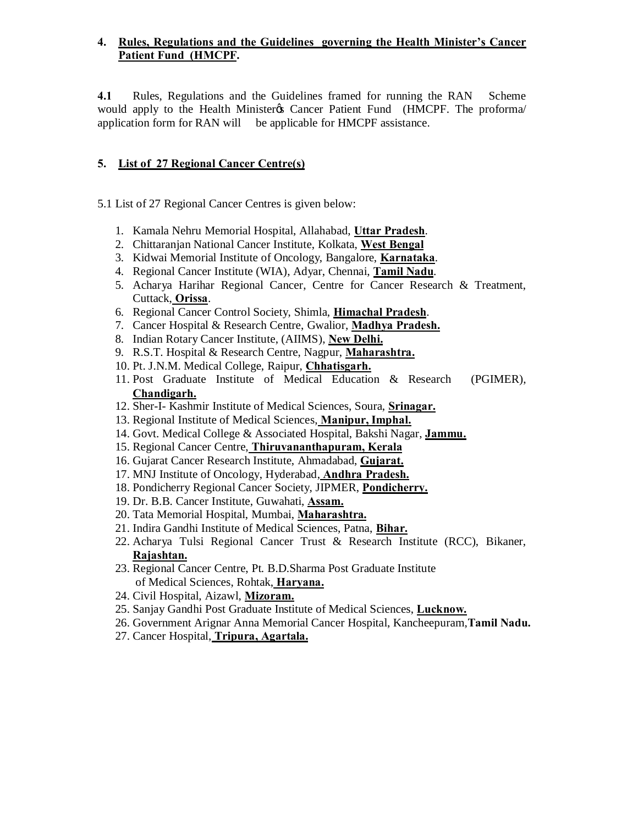### **4. Rules, Regulations and the Guidelines governing the Health Minister's Cancer Patient Fund (HMCPF.**

**4.1** Rules, Regulations and the Guidelines framed for running the RAN Scheme would apply to the Health Ministery's Cancer Patient Fund (HMCPF. The proforma/ application form for RAN will be applicable for HMCPF assistance.

# **5. List of 27 Regional Cancer Centre(s)**

5.1 List of 27 Regional Cancer Centres is given below:

- 1. Kamala Nehru Memorial Hospital, Allahabad, **Uttar Pradesh**.
- 2. Chittaranjan National Cancer Institute, Kolkata, **West Bengal**
- 3. Kidwai Memorial Institute of Oncology, Bangalore, **Karnataka**.
- 4. Regional Cancer Institute (WIA), Adyar, Chennai, **Tamil Nadu**.
- 5. Acharya Harihar Regional Cancer, Centre for Cancer Research & Treatment, Cuttack, **Orissa**.
- 6. Regional Cancer Control Society, Shimla, **Himachal Pradesh**.
- 7. Cancer Hospital & Research Centre, Gwalior, **Madhya Pradesh.**
- 8. Indian Rotary Cancer Institute, (AIIMS), **New Delhi.**
- 9. R.S.T. Hospital & Research Centre, Nagpur, **Maharashtra.**
- 10. Pt. J.N.M. Medical College, Raipur, **Chhatisgarh.**
- 11. Post Graduate Institute of Medical Education & Research (PGIMER), **Chandigarh.**
- 12. Sher-I- Kashmir Institute of Medical Sciences, Soura, **Srinagar.**
- 13. Regional Institute of Medical Sciences, **Manipur, Imphal.**
- 14. Govt. Medical College & Associated Hospital, Bakshi Nagar, **Jammu.**
- 15. Regional Cancer Centre, **Thiruvananthapuram, Kerala**
- 16. Gujarat Cancer Research Institute, Ahmadabad, **Gujarat.**
- 17. MNJ Institute of Oncology, Hyderabad, **Andhra Pradesh.**
- 18. Pondicherry Regional Cancer Society, JIPMER, **Pondicherry.**
- 19. Dr. B.B. Cancer Institute, Guwahati, **Assam.**
- 20. Tata Memorial Hospital, Mumbai, **Maharashtra.**
- 21. Indira Gandhi Institute of Medical Sciences, Patna, **Bihar.**
- 22. Acharya Tulsi Regional Cancer Trust & Research Institute (RCC), Bikaner, **Rajashtan.**
- 23. Regional Cancer Centre, Pt. B.D.Sharma Post Graduate Institute of Medical Sciences, Rohtak, **Haryana.**
- 24. Civil Hospital, Aizawl, **Mizoram.**
- 25. Sanjay Gandhi Post Graduate Institute of Medical Sciences, **Lucknow.**
- 26. Government Arignar Anna Memorial Cancer Hospital, Kancheepuram,**Tamil Nadu.**
- 27. Cancer Hospital, **Tripura, Agartala.**